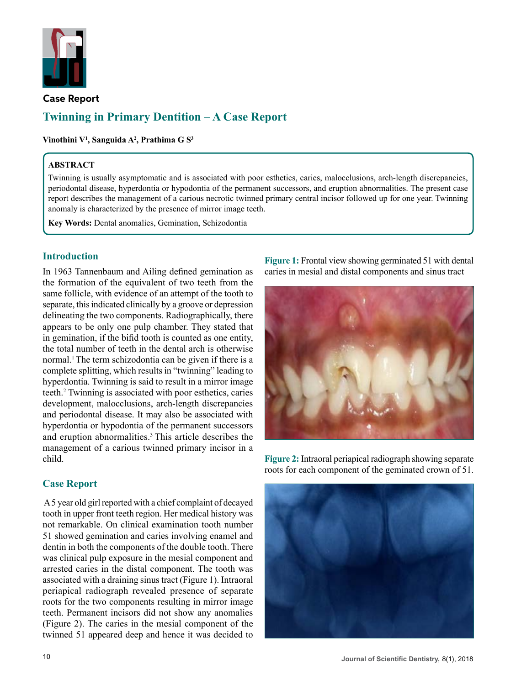

## **Case Report**

# **Twinning in Primary Dentition – A Case Report**

**Vinothini V1 , Sanguida A2 , Prathima G S3**

## **ABSTRACT**

Twinning is usually asymptomatic and is associated with poor esthetics, caries, malocclusions, arch-length discrepancies, periodontal disease, hyperdontia or hypodontia of the permanent successors, and eruption abnormalities. The present case report describes the management of a carious necrotic twinned primary central incisor followed up for one year. Twinning anomaly is characterized by the presence of mirror image teeth.

**Key Words:** Dental anomalies, Gemination, Schizodontia

## **Introduction**

In 1963 Tannenbaum and Ailing defined gemination as the formation of the equivalent of two teeth from the same follicle, with evidence of an attempt of the tooth to separate, this indicated clinically by a groove or depression delineating the two components. Radiographically, there appears to be only one pulp chamber. They stated that in gemination, if the bifid tooth is counted as one entity, the total number of teeth in the dental arch is otherwise normal.<sup>1</sup> The term schizodontia can be given if there is a complete splitting, which results in "twinning" leading to hyperdontia. Twinning is said to result in a mirror image teeth.2 Twinning is associated with poor esthetics, caries development, malocclusions, arch-length discrepancies and periodontal disease. It may also be associated with hyperdontia or hypodontia of the permanent successors and eruption abnormalities.<sup>3</sup>This article describes the management of a carious twinned primary incisor in a child.

## **Case Report**

 A 5 year old girl reported with a chief complaint of decayed tooth in upper front teeth region. Her medical history was not remarkable. On clinical examination tooth number 51 showed gemination and caries involving enamel and dentin in both the components of the double tooth. There was clinical pulp exposure in the mesial component and arrested caries in the distal component. The tooth was associated with a draining sinus tract (Figure 1). Intraoral periapical radiograph revealed presence of separate roots for the two components resulting in mirror image teeth. Permanent incisors did not show any anomalies (Figure 2). The caries in the mesial component of the twinned 51 appeared deep and hence it was decided to

**Figure 1:** Frontal view showing germinated 51 with dental caries in mesial and distal components and sinus tract



**Figure 2:** Intraoral periapical radiograph showing separate roots for each component of the geminated crown of 51.

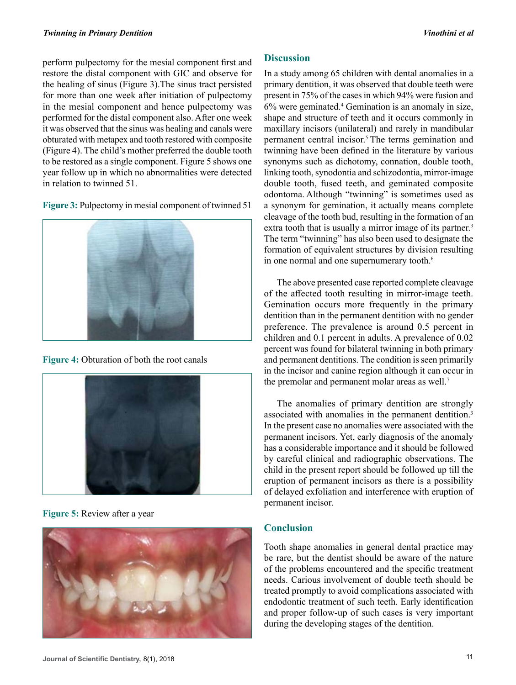perform pulpectomy for the mesial component first and restore the distal component with GIC and observe for the healing of sinus (Figure 3).The sinus tract persisted for more than one week after initiation of pulpectomy in the mesial component and hence pulpectomy was performed for the distal component also. After one week it was observed that the sinus was healing and canals were obturated with metapex and tooth restored with composite (Figure 4). The child's mother preferred the double tooth to be restored as a single component. Figure 5 shows one year follow up in which no abnormalities were detected in relation to twinned 51.





**Figure 4:** Obturation of both the root canals



**Figure 5:** Review after a year



## **Discussion**

In a study among 65 children with dental anomalies in a primary dentition, it was observed that double teeth were present in 75% of the cases in which 94% were fusion and 6% were geminated.<sup>4</sup> Gemination is an anomaly in size, shape and structure of teeth and it occurs commonly in maxillary incisors (unilateral) and rarely in mandibular permanent central incisor.5 The terms gemination and twinning have been defined in the literature by various synonyms such as dichotomy, connation, double tooth, linking tooth, synodontia and schizodontia, mirror-image double tooth, fused teeth, and geminated composite odontoma. Although "twinning" is sometimes used as a synonym for gemination, it actually means complete cleavage of the tooth bud, resulting in the formation of an extra tooth that is usually a mirror image of its partner.<sup>3</sup> The term "twinning" has also been used to designate the formation of equivalent structures by division resulting in one normal and one supernumerary tooth.<sup>6</sup>

The above presented case reported complete cleavage of the affected tooth resulting in mirror-image teeth. Gemination occurs more frequently in the primary dentition than in the permanent dentition with no gender preference. The prevalence is around 0.5 percent in children and 0.1 percent in adults. A prevalence of 0.02 percent was found for bilateral twinning in both primary and permanent dentitions. The condition is seen primarily in the incisor and canine region although it can occur in the premolar and permanent molar areas as well.<sup>7</sup>

The anomalies of primary dentition are strongly associated with anomalies in the permanent dentition.<sup>3</sup> In the present case no anomalies were associated with the permanent incisors. Yet, early diagnosis of the anomaly has a considerable importance and it should be followed by careful clinical and radiographic observations. The child in the present report should be followed up till the eruption of permanent incisors as there is a possibility of delayed exfoliation and interference with eruption of permanent incisor.

## **Conclusion**

Tooth shape anomalies in general dental practice may be rare, but the dentist should be aware of the nature of the problems encountered and the specific treatment needs. Carious involvement of double teeth should be treated promptly to avoid complications associated with endodontic treatment of such teeth. Early identification and proper follow-up of such cases is very important during the developing stages of the dentition.